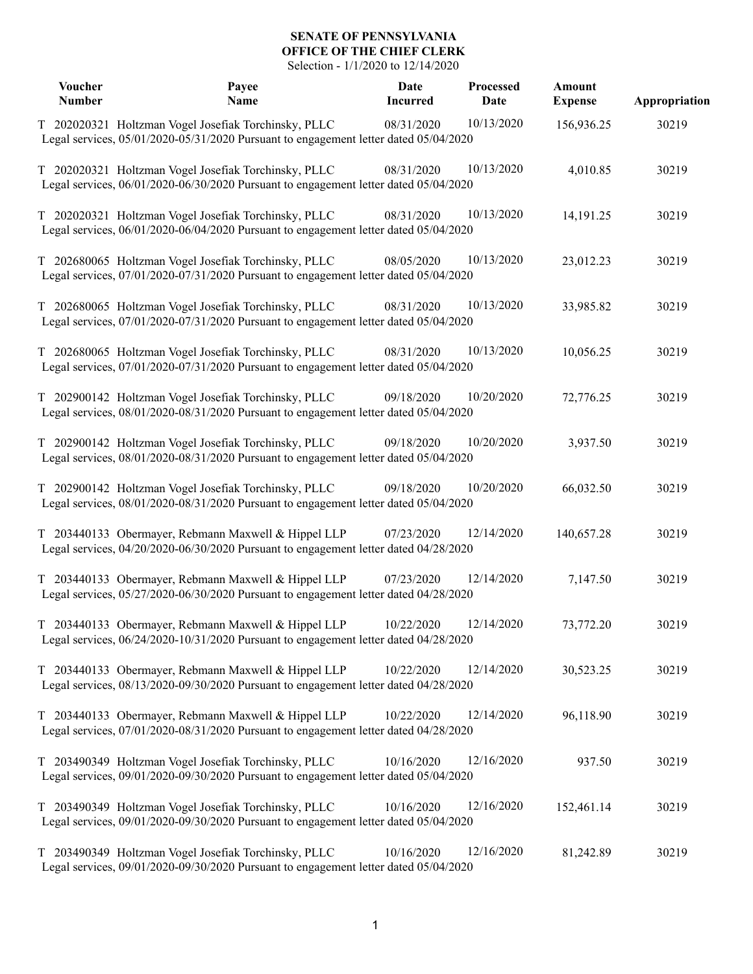## **SENATE OF PENNSYLVANIA OFFICE OF THE CHIEF CLERK**

Selection - 1/1/2020 to 12/14/2020

| <b>Voucher</b><br><b>Number</b> | Payee<br>Name                                                                                                                                | <b>Date</b><br><b>Incurred</b> | Processed<br>Date | Amount<br><b>Expense</b> | Appropriation |
|---------------------------------|----------------------------------------------------------------------------------------------------------------------------------------------|--------------------------------|-------------------|--------------------------|---------------|
|                                 | T 202020321 Holtzman Vogel Josefiak Torchinsky, PLLC<br>Legal services, 05/01/2020-05/31/2020 Pursuant to engagement letter dated 05/04/2020 | 08/31/2020                     | 10/13/2020        | 156,936.25               | 30219         |
|                                 | T 202020321 Holtzman Vogel Josefiak Torchinsky, PLLC<br>Legal services, 06/01/2020-06/30/2020 Pursuant to engagement letter dated 05/04/2020 | 08/31/2020                     | 10/13/2020        | 4,010.85                 | 30219         |
|                                 | T 202020321 Holtzman Vogel Josefiak Torchinsky, PLLC<br>Legal services, 06/01/2020-06/04/2020 Pursuant to engagement letter dated 05/04/2020 | 08/31/2020                     | 10/13/2020        | 14,191.25                | 30219         |
|                                 | T 202680065 Holtzman Vogel Josefiak Torchinsky, PLLC<br>Legal services, 07/01/2020-07/31/2020 Pursuant to engagement letter dated 05/04/2020 | 08/05/2020                     | 10/13/2020        | 23,012.23                | 30219         |
|                                 | T 202680065 Holtzman Vogel Josefiak Torchinsky, PLLC<br>Legal services, 07/01/2020-07/31/2020 Pursuant to engagement letter dated 05/04/2020 | 08/31/2020                     | 10/13/2020        | 33,985.82                | 30219         |
|                                 | T 202680065 Holtzman Vogel Josefiak Torchinsky, PLLC<br>Legal services, 07/01/2020-07/31/2020 Pursuant to engagement letter dated 05/04/2020 | 08/31/2020                     | 10/13/2020        | 10,056.25                | 30219         |
|                                 | T 202900142 Holtzman Vogel Josefiak Torchinsky, PLLC<br>Legal services, 08/01/2020-08/31/2020 Pursuant to engagement letter dated 05/04/2020 | 09/18/2020                     | 10/20/2020        | 72,776.25                | 30219         |
|                                 | T 202900142 Holtzman Vogel Josefiak Torchinsky, PLLC<br>Legal services, 08/01/2020-08/31/2020 Pursuant to engagement letter dated 05/04/2020 | 09/18/2020                     | 10/20/2020        | 3,937.50                 | 30219         |
|                                 | T 202900142 Holtzman Vogel Josefiak Torchinsky, PLLC<br>Legal services, 08/01/2020-08/31/2020 Pursuant to engagement letter dated 05/04/2020 | 09/18/2020                     | 10/20/2020        | 66,032.50                | 30219         |
|                                 | T 203440133 Obermayer, Rebmann Maxwell & Hippel LLP<br>Legal services, 04/20/2020-06/30/2020 Pursuant to engagement letter dated 04/28/2020  | 07/23/2020                     | 12/14/2020        | 140,657.28               | 30219         |
|                                 | T 203440133 Obermayer, Rebmann Maxwell & Hippel LLP<br>Legal services, 05/27/2020-06/30/2020 Pursuant to engagement letter dated 04/28/2020  | 07/23/2020                     | 12/14/2020        | 7,147.50                 | 30219         |
|                                 | T 203440133 Obermayer, Rebmann Maxwell & Hippel LLP<br>Legal services, 06/24/2020-10/31/2020 Pursuant to engagement letter dated 04/28/2020  | 10/22/2020                     | 12/14/2020        | 73,772.20                | 30219         |
|                                 | T 203440133 Obermayer, Rebmann Maxwell & Hippel LLP<br>Legal services, 08/13/2020-09/30/2020 Pursuant to engagement letter dated 04/28/2020  | 10/22/2020                     | 12/14/2020        | 30,523.25                | 30219         |
|                                 | T 203440133 Obermayer, Rebmann Maxwell & Hippel LLP<br>Legal services, 07/01/2020-08/31/2020 Pursuant to engagement letter dated 04/28/2020  | 10/22/2020                     | 12/14/2020        | 96,118.90                | 30219         |
|                                 | T 203490349 Holtzman Vogel Josefiak Torchinsky, PLLC<br>Legal services, 09/01/2020-09/30/2020 Pursuant to engagement letter dated 05/04/2020 | 10/16/2020                     | 12/16/2020        | 937.50                   | 30219         |
|                                 | T 203490349 Holtzman Vogel Josefiak Torchinsky, PLLC<br>Legal services, 09/01/2020-09/30/2020 Pursuant to engagement letter dated 05/04/2020 | 10/16/2020                     | 12/16/2020        | 152,461.14               | 30219         |
|                                 | T 203490349 Holtzman Vogel Josefiak Torchinsky, PLLC<br>Legal services, 09/01/2020-09/30/2020 Pursuant to engagement letter dated 05/04/2020 | 10/16/2020                     | 12/16/2020        | 81,242.89                | 30219         |